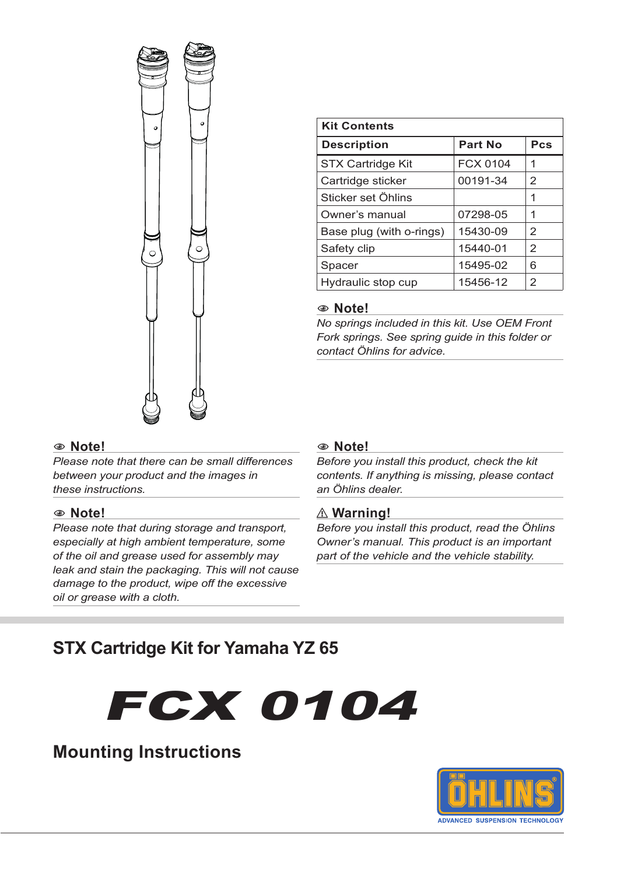

| <b>Kit Contents</b>      |                 |                |  |
|--------------------------|-----------------|----------------|--|
| <b>Description</b>       | Part No         | Pcs            |  |
| <b>STX Cartridge Kit</b> | <b>FCX 0104</b> | 1              |  |
| Cartridge sticker        | 00191-34        | 2              |  |
| Sticker set Öhlins       |                 | 1              |  |
| Owner's manual           | 07298-05        | 1              |  |
| Base plug (with o-rings) | 15430-09        | $\mathcal{P}$  |  |
| Safety clip              | 15440-01        | $\overline{2}$ |  |
| Spacer                   | 15495-02        | 6              |  |
| Hydraulic stop cup       | 15456-12        | $\overline{2}$ |  |

#### 1 **Note!**

*No springs included in this kit. Use OEM Front Fork springs. See spring guide in this folder or contact Öhlins for advice.*

#### 1 **Note!**

*Please note that there can be small differences between your product and the images in these instructions.*

#### 1 **Note!**

*Please note that during storage and transport, especially at high ambient temperature, some of the oil and grease used for assembly may leak and stain the packaging. This will not cause damage to the product, wipe off the excessive oil or grease with a cloth.*

#### 1 **Note!**

*Before you install this product, check the kit contents. If anything is missing, please contact an Öhlins dealer.*

#### ⚠ **Warning!**

*Before you install this product, read the Öhlins Owner's manual. This product is an important part of the vehicle and the vehicle stability.*

# **STX Cartridge Kit for Yamaha YZ 65**





**Mounting Instructions**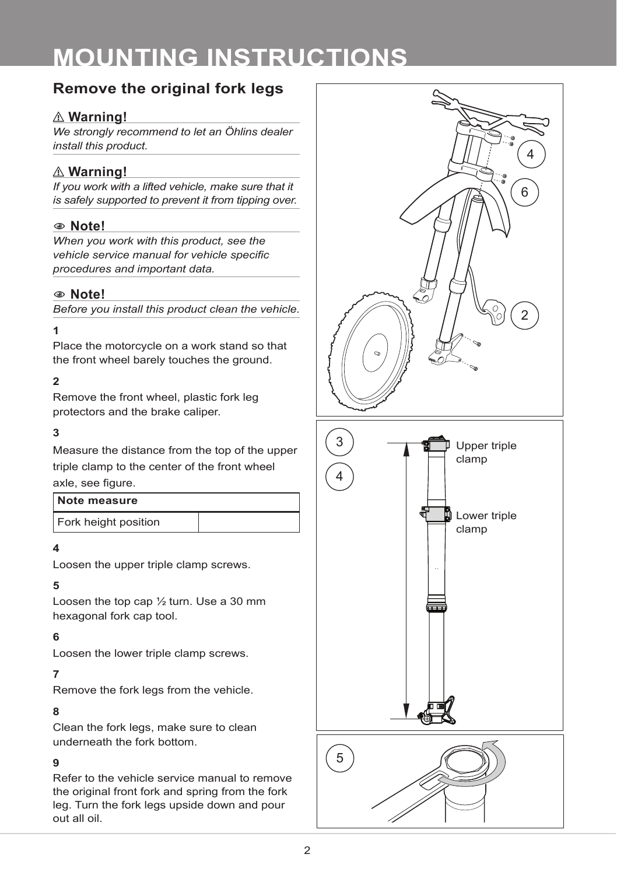# **Remove the original fork legs**

# ⚠ **Warning!**

*We strongly recommend to let an Öhlins dealer install this product.*

# ⚠ **Warning!**

*If you work with a lifted vehicle, make sure that it is safely supported to prevent it from tipping over.*

## 1 **Note!**

*When you work with this product, see the vehicle service manual for vehicle specific procedures and important data.*

## 1 **Note!**

*Before you install this product clean the vehicle.*

#### **1**

Place the motorcycle on a work stand so that the front wheel barely touches the ground.

## **2**

Remove the front wheel, plastic fork leg protectors and the brake caliper.

#### **3**

Measure the distance from the top of the upper triple clamp to the center of the front wheel axle, see figure.

| Note measure         |  |
|----------------------|--|
| Fork height position |  |

#### **4**

Loosen the upper triple clamp screws.

#### **5**

Loosen the top cap ½ turn. Use a 30 mm hexagonal fork cap tool.

## **6**

Loosen the lower triple clamp screws.

#### **7**

Remove the fork legs from the vehicle.

#### **8**

Clean the fork legs, make sure to clean underneath the fork bottom.

#### **9**

Refer to the vehicle service manual to remove the original front fork and spring from the fork leg. Turn the fork legs upside down and pour out all oil.

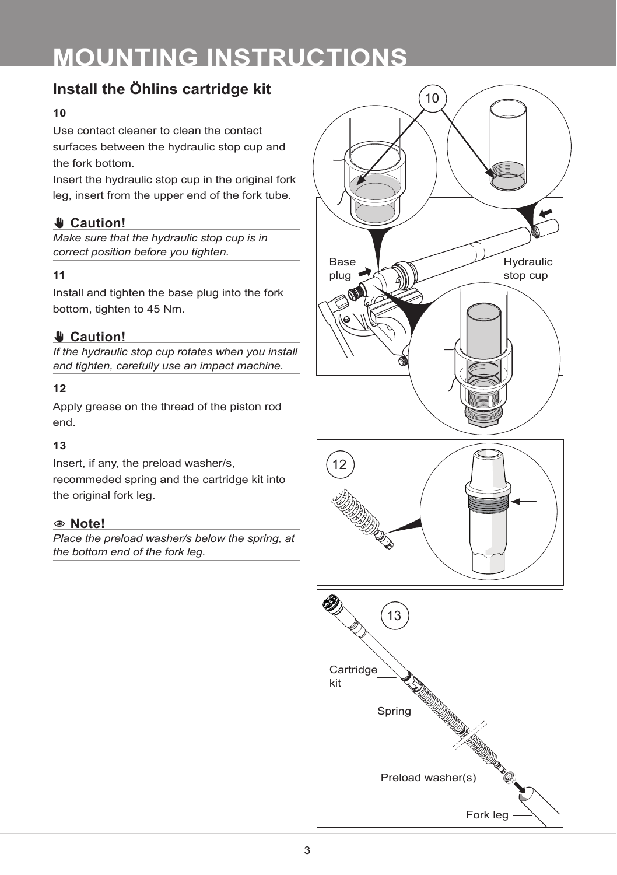# **Install the Öhlins cartridge kit**

#### **10**

Use contact cleaner to clean the contact surfaces between the hydraulic stop cup and the fork bottom.

Insert the hydraulic stop cup in the original fork leg, insert from the upper end of the fork tube.

# ✋ **Caution!**

*Make sure that the hydraulic stop cup is in correct position before you tighten.*

#### **11**

Install and tighten the base plug into the fork bottom, tighten to 45 Nm.

# ✋ **Caution!**

*If the hydraulic stop cup rotates when you install and tighten, carefully use an impact machine.*

#### **12**

Apply grease on the thread of the piston rod end.

#### **13**

Insert, if any, the preload washer/s, recommeded spring and the cartridge kit into the original fork leg.

#### 1 **Note!**

*Place the preload washer/s below the spring, at the bottom end of the fork leg.*



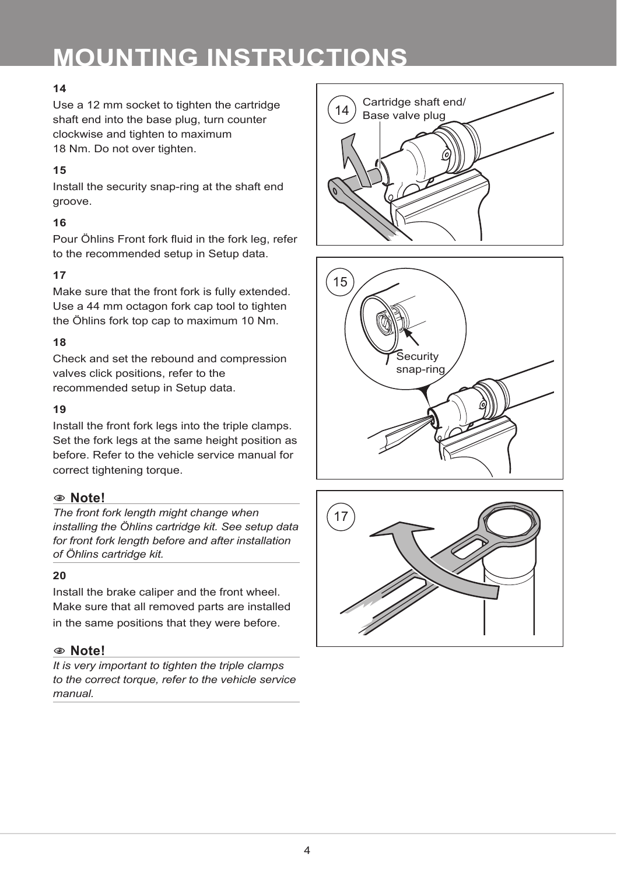#### **14**

Use a 12 mm socket to tighten the cartridge shaft end into the base plug, turn counter clockwise and tighten to maximum 18 Nm. Do not over tighten.

#### **15**

Install the security snap-ring at the shaft end groove.

#### **16**

Pour Öhlins Front fork fluid in the fork leg, refer to the recommended setup in Setup data.

#### **17**

Make sure that the front fork is fully extended. Use a 44 mm octagon fork cap tool to tighten the Öhlins fork top cap to maximum 10 Nm.

#### **18**

Check and set the rebound and compression valves click positions, refer to the recommended setup in Setup data.

#### **19**

Install the front fork legs into the triple clamps. Set the fork legs at the same height position as before. Refer to the vehicle service manual for correct tightening torque.

#### 1 **Note!**

*The front fork length might change when installing the Öhlins cartridge kit. See setup data for front fork length before and after installation of Öhlins cartridge kit.*

#### **20**

Install the brake caliper and the front wheel. Make sure that all removed parts are installed in the same positions that they were before.

## 1 **Note!**

*It is very important to tighten the triple clamps to the correct torque, refer to the vehicle service manual.*





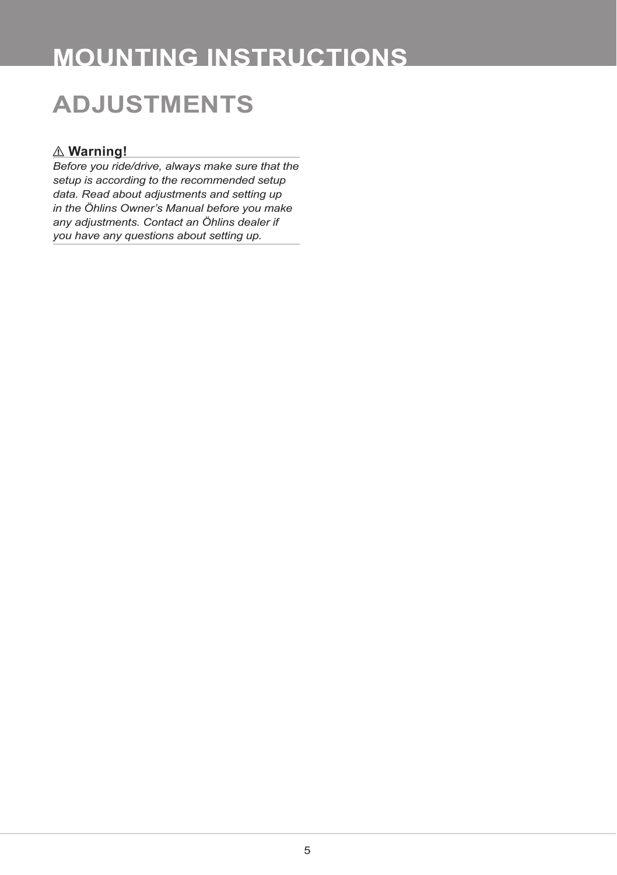# **ADJUSTMENTS**

## ⚠ **Warning!**

*Before you ride/drive, always make sure that the setup is according to the recommended setup data. Read about adjustments and setting up in the Öhlins Owner's Manual before you make any adjustments. Contact an Öhlins dealer if you have any questions about setting up.*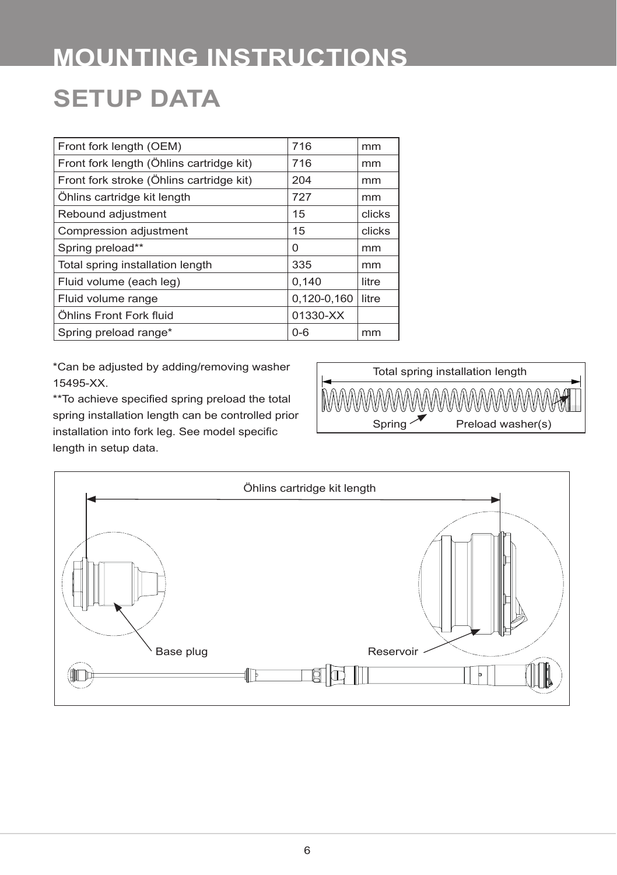# **SETUP DATA MOUNTING INSTRUCTIONS**

| Front fork length (OEM)                  | 716         | mm     |
|------------------------------------------|-------------|--------|
| Front fork length (Öhlins cartridge kit) | 716         | mm     |
| Front fork stroke (Öhlins cartridge kit) | 204         | mm     |
| Öhlins cartridge kit length              | 727         | mm     |
| Rebound adjustment                       | 15          | clicks |
| Compression adjustment                   | 15          | clicks |
| Spring preload**                         | 0           | mm     |
| Total spring installation length         | 335         | mm     |
| Fluid volume (each leg)                  | 0.140       | litre  |
| Fluid volume range                       | 0,120-0,160 | litre  |
| Öhlins Front Fork fluid                  | 01330-XX    |        |
| Spring preload range*                    | $0 - 6$     | mm     |
|                                          |             |        |

\*Can be adjusted by adding/removing washer 15495-XX.

\*\*To achieve specified spring preload the total spring installation length can be controlled prior installation into fork leg. See model specific length in setup data.



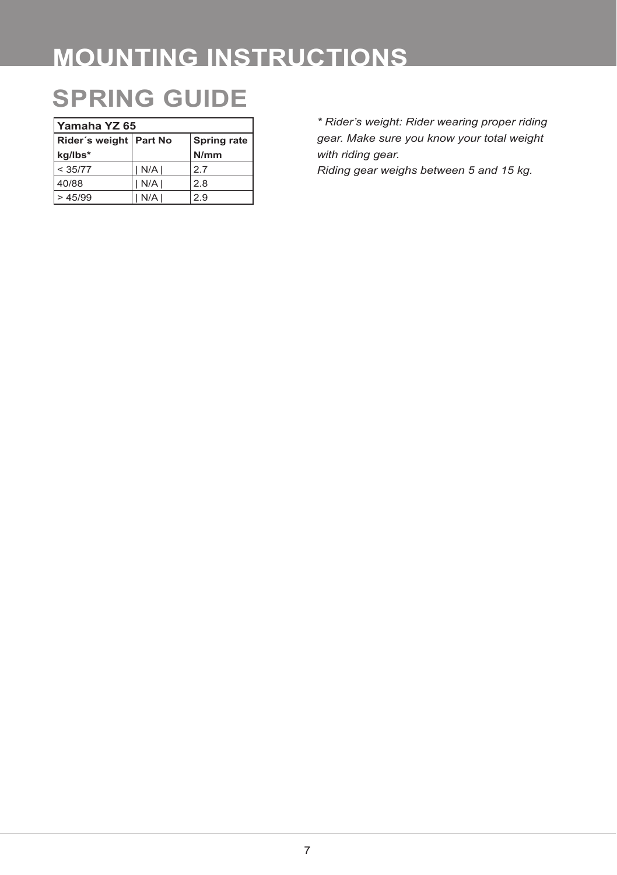# **SPRING GUIDE**

| Yamaha YZ 65             |     |                    |  |
|--------------------------|-----|--------------------|--|
| Rider's weight   Part No |     | <b>Spring rate</b> |  |
| kg/lbs*                  |     | N/mm               |  |
| < 35/77                  | N/A | 27                 |  |
| 40/88                    | N/A | 2.8                |  |
| > 45/99                  | N/A | 2.9                |  |

*\* Rider's weight: Rider wearing proper riding gear. Make sure you know your total weight with riding gear.* 

*Riding gear weighs between 5 and 15 kg.*